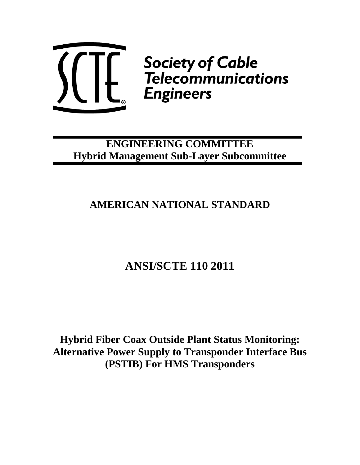

# **ENGINEERING COMMITTEE Hybrid Management Sub-Layer Subcommittee**

# **AMERICAN NATIONAL STANDARD**

# **ANSI/SCTE 110 2011**

**Hybrid Fiber Coax Outside Plant Status Monitoring: Alternative Power Supply to Transponder Interface Bus (PSTIB) For HMS Transponders**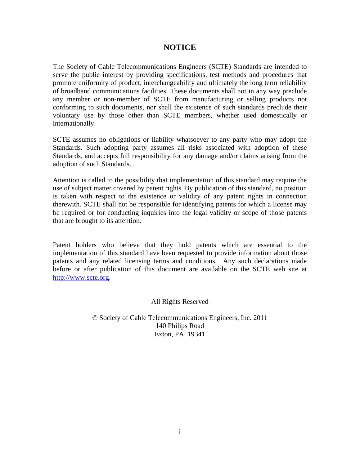### **NOTICE**

The Society of Cable Telecommunications Engineers (SCTE) Standards are intended to serve the public interest by providing specifications, test methods and procedures that promote uniformity of product, interchangeability and ultimately the long term reliability of broadband communications facilities. These documents shall not in any way preclude any member or non-member of SCTE from manufacturing or selling products not conforming to such documents, nor shall the existence of such standards preclude their voluntary use by those other than SCTE members, whether used domestically or internationally.

SCTE assumes no obligations or liability whatsoever to any party who may adopt the Standards. Such adopting party assumes all risks associated with adoption of these Standards, and accepts full responsibility for any damage and/or claims arising from the adoption of such Standards.

Attention is called to the possibility that implementation of this standard may require the use of subject matter covered by patent rights. By publication of this standard, no position is taken with respect to the existence or validity of any patent rights in connection therewith. SCTE shall not be responsible for identifying patents for which a license may be required or for conducting inquiries into the legal validity or scope of those patents that are brought to its attention.

Patent holders who believe that they hold patents which are essential to the implementation of this standard have been requested to provide information about those patents and any related licensing terms and conditions. Any such declarations made before or after publication of this document are available on the SCTE web site at [http://www.scte.org](http://www.scte.org/).

All Rights Reserved

© Society of Cable Telecommunications Engineers, Inc. 2011 140 Philips Road Exton, PA 19341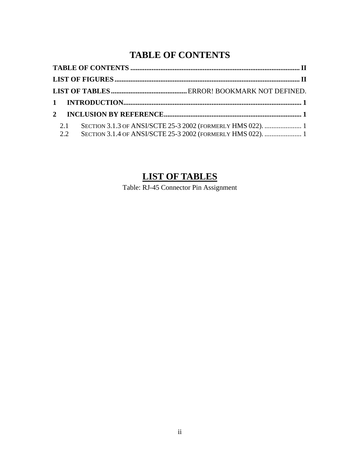## **TABLE OF CONTENTS**

<span id="page-2-0"></span>

|  | 2.1 |  |  |  |
|--|-----|--|--|--|
|  |     |  |  |  |

## **LIST OF TABLES**

Table: RJ-45 Connector Pin Assignment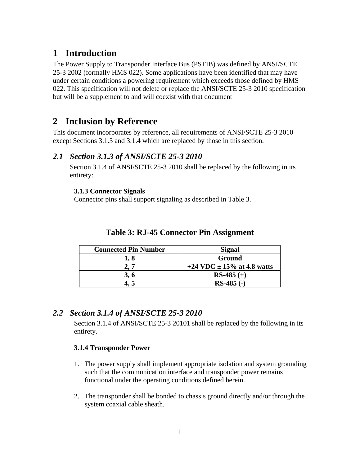### <span id="page-3-0"></span>**1 Introduction**

The Power Supply to Transponder Interface Bus (PSTIB) was defined by ANSI/SCTE 25-3 2002 (formally HMS 022). Some applications have been identified that may have under certain conditions a powering requirement which exceeds those defined by HMS 022. This specification will not delete or replace the ANSI/SCTE 25-3 2010 specification but will be a supplement to and will coexist with that document

### **2 Inclusion by Reference**

This document incorporates by reference, all requirements of ANSI/SCTE 25-3 2010 except Sections 3.1.3 and 3.1.4 which are replaced by those in this section.

### *2.1 Section 3.1.3 of ANSI/SCTE 25-3 2010*

Section 3.1.4 of ANSI/SCTE 25-3 2010 shall be replaced by the following in its entirety:

#### **3.1.3 Connector Signals**

Connector pins shall support signaling as described in Table 3.

| <b>Connected Pin Number</b> | <b>Signal</b>                  |
|-----------------------------|--------------------------------|
|                             | Ground                         |
|                             | +24 VDC $\pm$ 15% at 4.8 watts |
| 3, 6                        | $RS-485 (+)$                   |
|                             | $RS-485$ (-)                   |

### **Table 3: RJ-45 Connector Pin Assignment**

### *2.2 Section 3.1.4 of ANSI/SCTE 25-3 2010*

Section 3.1.4 of ANSI/SCTE 25-3 20101 shall be replaced by the following in its entirety.

#### **3.1.4 Transponder Power**

- 1. The power supply shall implement appropriate isolation and system grounding such that the communication interface and transponder power remains functional under the operating conditions defined herein.
- 2. The transponder shall be bonded to chassis ground directly and/or through the system coaxial cable sheath.